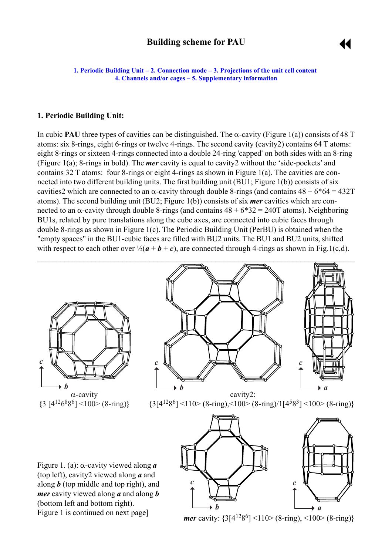## **Building scheme for PAU**



<span id="page-0-0"></span>**1. Periodic Building Unit – 2. Connection mode – 3. Projections of the unit cell content [4. Channels and/or cages](#page-3-0) ñ [5. Supplementary information](#page-3-0)**

#### **1. Periodic Building Unit:**

Figure 1 is continued on next page]

In cubic **PAU** three types of cavities can be distinguished. The  $\alpha$ -cavity (Figure 1(a)) consists of 48 T atoms: six 8-rings, eight 6-rings or twelve 4-rings. The second cavity (cavity2) contains 64 T atoms: eight 8-rings or sixteen 4-rings connected into a double 24-ring 'capped' on both sides with an 8-ring (Figure 1(a); 8-rings in bold). The *mer* cavity is equal to cavity2 without the 'side-pockets' and contains 32 T atoms: four 8-rings or eight 4-rings as shown in Figure 1(a). The cavities are connected into two different building units. The first building unit (BU1; Figure 1(b)) consists of six cavities which are connected to an  $\alpha$ -cavity through double 8-rings (and contains  $48 + 6*64 = 432T$ atoms). The second building unit (BU2; Figure 1(b)) consists of six *mer* cavities which are connected to an α-cavity through double 8-rings (and contains  $48 + 6*32 = 240$  T atoms). Neighboring BU1s, related by pure translations along the cube axes, are connected into cubic faces through double 8-rings as shown in Figure 1(c). The Periodic Building Unit (PerBU) is obtained when the "empty spaces" in the BU1-cubic faces are filled with BU2 units. The BU1 and BU2 units, shifted with respect to each other over  $\frac{1}{2}(a + b + c)$ , are connected through 4-rings as shown in Fig.1(c,d).



*b*

 $\rightarrow$ 

*mer* cavity: **{**3[41286] <110> (8-ring), <100> (8-ring)**}**

 $\rightarrow a$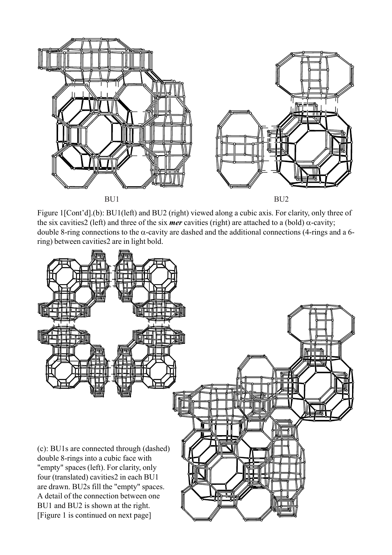

Figure 1[Cont'd].(b): BU1(left) and BU2 (right) viewed along a cubic axis. For clarity, only three of the six cavities2 (left) and three of the six *mer* cavities (right) are attached to a (bold)  $\alpha$ -cavity; double 8-ring connections to the  $\alpha$ -cavity are dashed and the additional connections (4-rings and a 6ring) between cavities2 are in light bold.

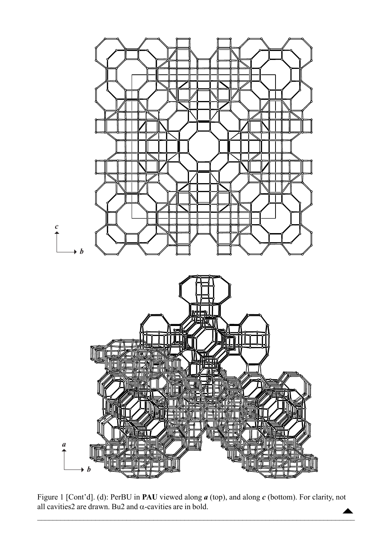

Figure 1 [Cont'd]. (d): PerBU in PAU viewed along  $a$  (top), and along  $c$  (bottom). For clarity, not all cavities 2 are drawn. Bu2 and  $\alpha$ -cavities are in bold.